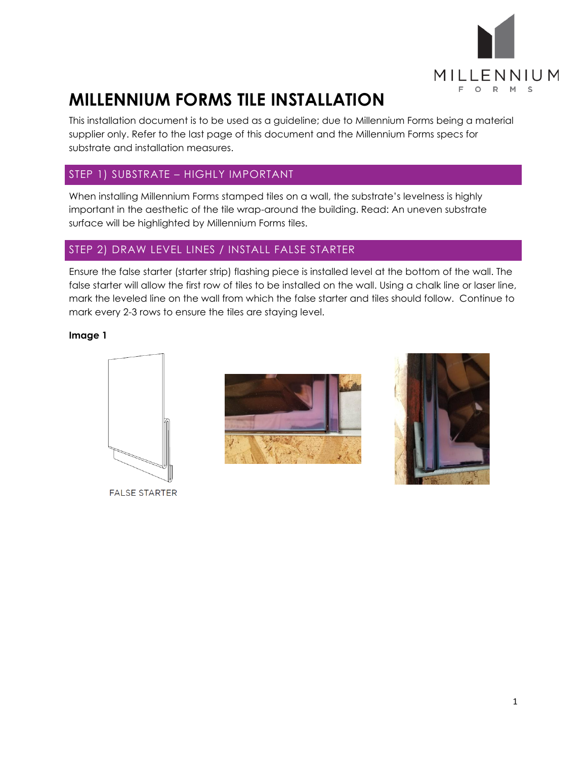

This installation document is to be used as a guideline; due to Millennium Forms being a material supplier only. Refer to the last page of this document and the Millennium Forms specs for substrate and installation measures.

### STEP 1) SUBSTRATE – HIGHLY IMPORTANT

When installing Millennium Forms stamped tiles on a wall, the substrate's levelness is highly important in the aesthetic of the tile wrap-around the building. Read: An uneven substrate surface will be highlighted by Millennium Forms tiles.

### STEP 2) DRAW LEVEL LINES / INSTALL FALSE STARTER

Ensure the false starter (starter strip) flashing piece is installed level at the bottom of the wall. The false starter will allow the first row of tiles to be installed on the wall. Using a chalk line or laser line, mark the leveled line on the wall from which the false starter and tiles should follow. Continue to mark every 2-3 rows to ensure the tiles are staying level.

### **Image 1**





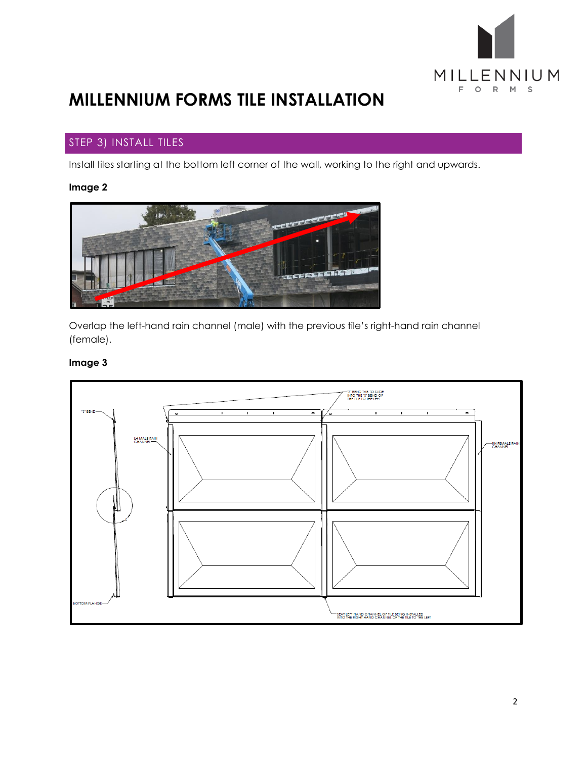

### STEP 3) INSTALL TILES

Install tiles starting at the bottom left corner of the wall, working to the right and upwards.

### **Image 2**



Overlap the left-hand rain channel (male) with the previous tile's right-hand rain channel (female).

### **Image 3**

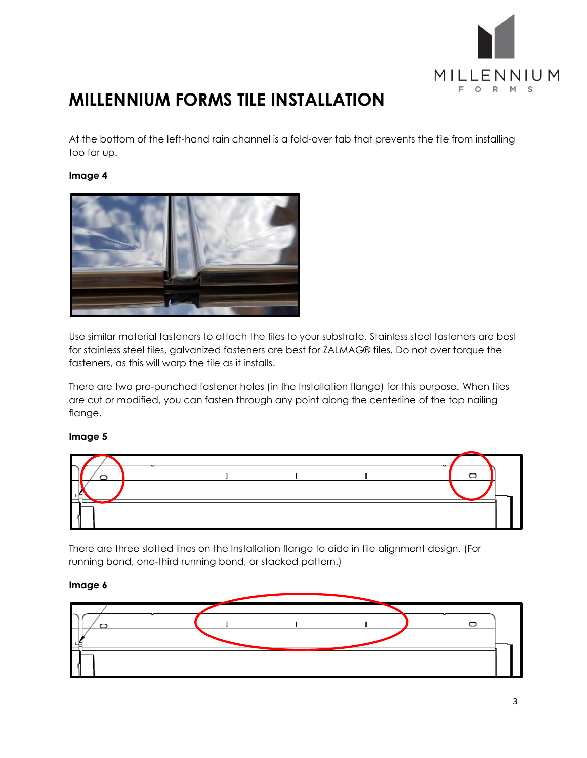

At the bottom of the left-hand rain channel is a fold-over tab that prevents the tile from installing too far up.

#### **Image 4**



Use similar material fasteners to attach the tiles to your substrate. Stainless steel fasteners are best for stainless steel tiles, galvanized fasteners are best for ZALMAG® tiles. Do not over torque the fasteners, as this will warp the tile as it installs.

There are two pre-punched fastener holes (in the Installation flange) for this purpose. When tiles are cut or modified, you can fasten through any point along the centerline of the top nailing flange.

#### **Image 5**



There are three slotted lines on the Installation flange to aide in tile alignment design. (For running bond, one-third running bond, or stacked pattern.)

#### **Image 6**

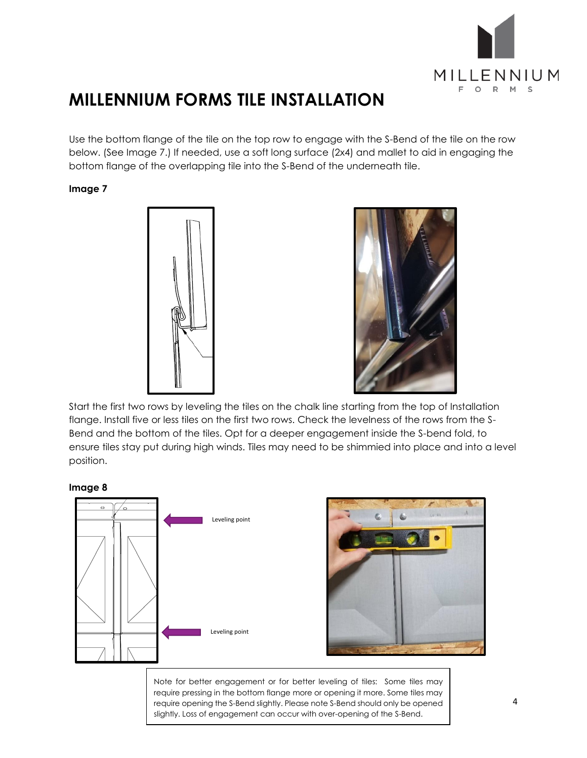

Use the bottom flange of the tile on the top row to engage with the S-Bend of the tile on the row below. (See Image 7.) If needed, use a soft long surface (2x4) and mallet to aid in engaging the bottom flange of the overlapping tile into the S-Bend of the underneath tile.

### **Image 7**





Start the first two rows by leveling the tiles on the chalk line starting from the top of Installation flange. Install five or less tiles on the first two rows. Check the levelness of the rows from the S-Bend and the bottom of the tiles. Opt for a deeper engagement inside the S-bend fold, to ensure tiles stay put during high winds. Tiles may need to be shimmied into place and into a level position.





Note for better engagement or for better leveling of tiles: Some tiles may require pressing in the bottom flange more or opening it more. Some tiles may require opening the S-Bend slightly. Please note S-Bend should only be opened slightly. Loss of engagement can occur with over-opening of the S-Bend.